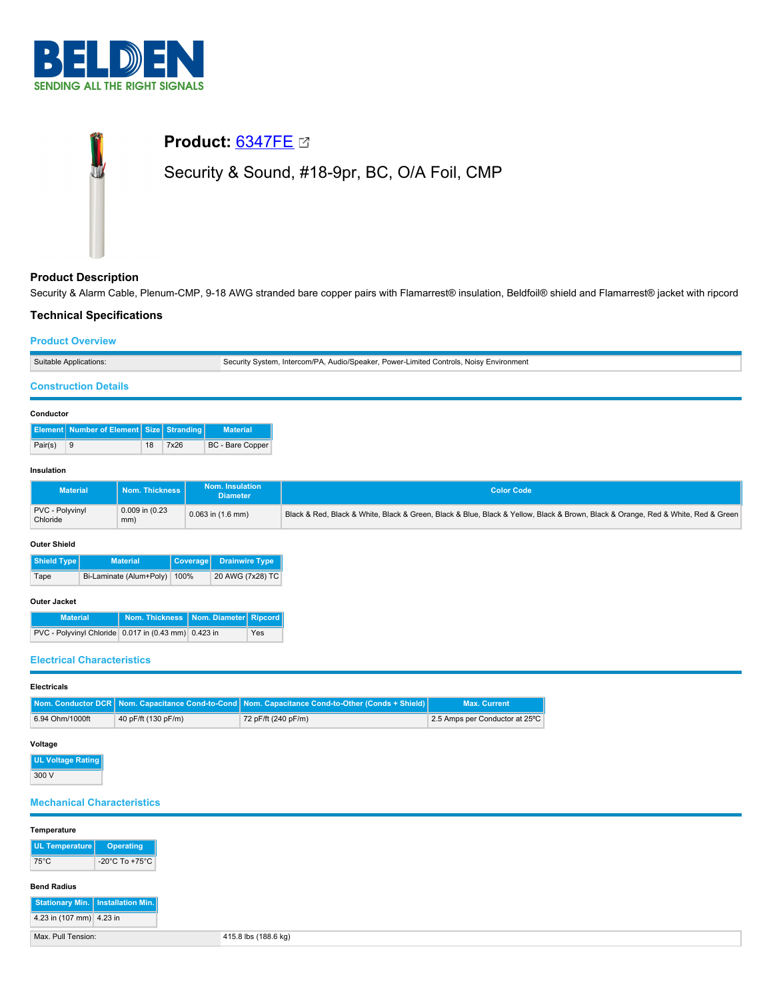

# **Product:** [6347FE](https://catalog.belden.com/index.cfm?event=pd&p=PF_6347FE&tab=downloads) Security & Sound, #18-9pr, BC, O/A Foil, CMP

# **Product Description**

Security & Alarm Cable, Plenum-CMP, 9-18 AWG stranded bare copper pairs with Flamarrest® insulation, Beldfoil® shield and Flamarrest® jacket with ripcord

# **Technical Specifications**

#### **Product Overview**

| Suitable Applications: | \, Audio/Speaker, Power-Limited Controls, Noisy Environment<br>Intercom/PA,<br>Security Svstem |
|------------------------|------------------------------------------------------------------------------------------------|
|                        |                                                                                                |

### **Construction Details**

| Conductor |                                                 |    |      |                         |  |  |
|-----------|-------------------------------------------------|----|------|-------------------------|--|--|
|           | <b>Element</b> Number of Element Size Stranding |    |      | <b>Material</b>         |  |  |
| Pair(s)   |                                                 | 18 | 7x26 | <b>BC</b> - Bare Copper |  |  |

#### **Insulation**

| <b>Material</b>             | Nom. Thickness             | Nom. Insulation<br><b>Diameter</b> | <b>Color Code</b>                                                                                                                |
|-----------------------------|----------------------------|------------------------------------|----------------------------------------------------------------------------------------------------------------------------------|
| PVC - Polyvinyl<br>Chloride | $0.009$ in $(0.23)$<br>mm) | $0.063$ in $(1.6$ mm)              | Black & Red, Black & White, Black & Green, Black & Blue, Black & Yellow, Black & Brown, Black & Orange, Red & White, Red & Green |

#### **Outer Shield**

| Shield Type<br><b>Material</b> |                              | Coverage Drainwire Type |
|--------------------------------|------------------------------|-------------------------|
| Tape                           | Bi-Laminate (Alum+Poly) 100% | 20 AWG (7x28) TC        |

#### **Outer Jacket**

| <b>Material</b>                                      | Nom. Thickness   Nom. Diameter   Ripcord |     |
|------------------------------------------------------|------------------------------------------|-----|
| PVC - Polyvinyl Chloride 0.017 in (0.43 mm) 0.423 in |                                          | Yes |

# **Electrical Characteristics**

#### **Electricals**

|                 |                     | Nom. Conductor DCR Nom. Capacitance Cond-to-Cond Nom. Capacitance Cond-to-Other (Conds + Shield) | <b>Max. Current</b>            |
|-----------------|---------------------|--------------------------------------------------------------------------------------------------|--------------------------------|
| 6.94 Ohm/1000ft | 40 pF/ft (130 pF/m) | 72 pF/ft (240 pF/m)                                                                              | 2.5 Amps per Conductor at 25°C |

#### **Voltage**

| <b>UL Voltage Rating</b> |  |
|--------------------------|--|
| 300 V                    |  |

#### **Mechanical Characteristics**

| Temperature |  |
|-------------|--|

| <b>UL Temperature</b> | <b>Operating</b>                     |
|-----------------------|--------------------------------------|
| $75^{\circ}$ C        | -20 $^{\circ}$ C To +75 $^{\circ}$ C |
|                       |                                      |

## **Bend Radius**

|                          | Stationary Min.   Installation Min. |
|--------------------------|-------------------------------------|
| 4.23 in (107 mm) 4.23 in |                                     |
| Max, Pull Tension:       |                                     |